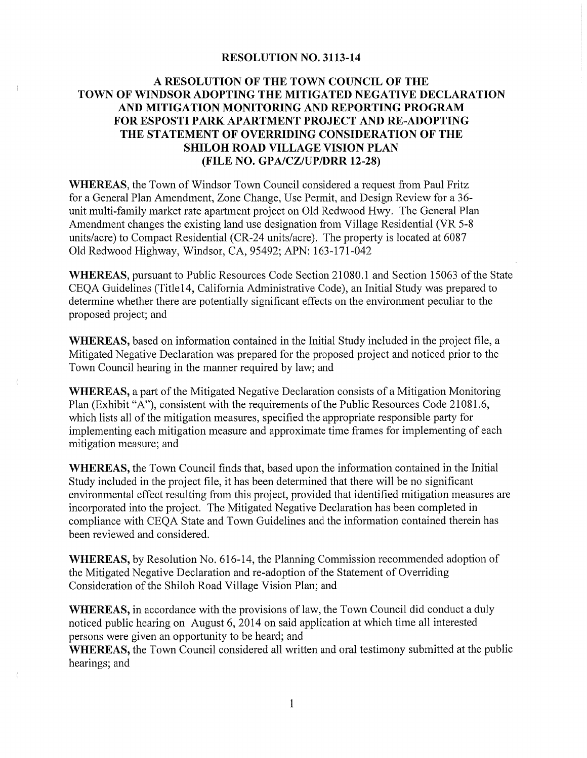## **RESOLUTION NO. 3113-14**

## A RESOLUTION OF THE TOWN COUNCIL OF THE TOWN OF WINDSOR ADOPTING THE MITIGATED NEGATIVE DECLARATION AND MITIGATION MONITORING AND REPORTING PROGRAM FOR ESPOSTI PARK APARTMENT PROJECT AND RE-ADOPTING THE STATEMENT OF OVERRIDING CONSIDERATION OF THE **SHILOH ROAD VILLAGE VISION PLAN** (FILE NO. GPA/CZ/UP/DRR 12-28)

WHEREAS, the Town of Windsor Town Council considered a request from Paul Fritz for a General Plan Amendment, Zone Change, Use Permit, and Design Review for a 36unit multi-family market rate apartment project on Old Redwood Hwy. The General Plan Amendment changes the existing land use designation from Village Residential (VR 5-8) units/acre) to Compact Residential (CR-24 units/acre). The property is located at 6087 Old Redwood Highway, Windsor, CA, 95492; APN: 163-171-042

**WHEREAS, pursuant to Public Resources Code Section 21080.1 and Section 15063 of the State** CEOA Guidelines (Title14, California Administrative Code), an Initial Study was prepared to determine whether there are potentially significant effects on the environment peculiar to the proposed project; and

WHEREAS, based on information contained in the Initial Study included in the project file, a Mitigated Negative Declaration was prepared for the proposed project and noticed prior to the Town Council hearing in the manner required by law; and

**WHEREAS, a part of the Mitigated Negative Declaration consists of a Mitigation Monitoring** Plan (Exhibit "A"), consistent with the requirements of the Public Resources Code 21081.6, which lists all of the mitigation measures, specified the appropriate responsible party for implementing each mitigation measure and approximate time frames for implementing of each mitigation measure; and

**WHEREAS**, the Town Council finds that, based upon the information contained in the Initial Study included in the project file, it has been determined that there will be no significant environmental effect resulting from this project, provided that identified mitigation measures are incorporated into the project. The Mitigated Negative Declaration has been completed in compliance with CEQA State and Town Guidelines and the information contained therein has been reviewed and considered.

**WHEREAS,** by Resolution No. 616-14, the Planning Commission recommended adoption of the Mitigated Negative Declaration and re-adoption of the Statement of Overriding Consideration of the Shiloh Road Village Vision Plan; and

**WHEREAS**, in accordance with the provisions of law, the Town Council did conduct a duly noticed public hearing on August 6, 2014 on said application at which time all interested persons were given an opportunity to be heard; and

**WHEREAS**, the Town Council considered all written and oral testimony submitted at the public hearings; and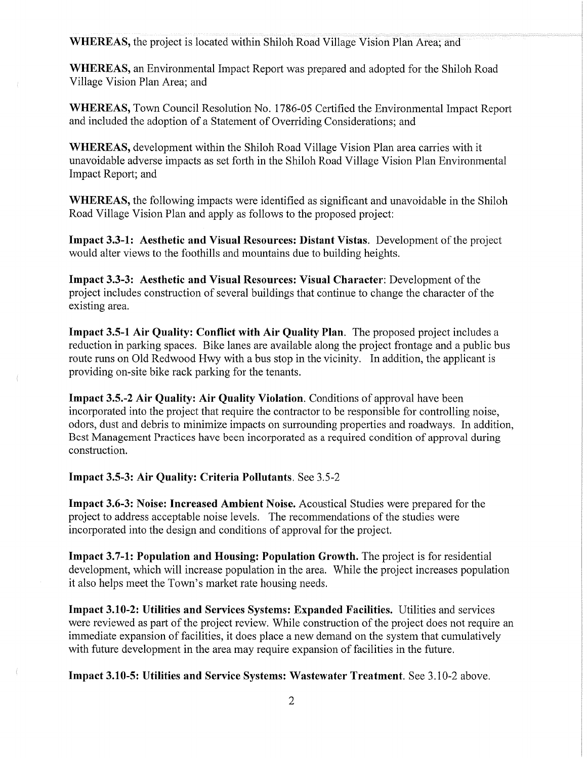**WHEREAS**, the project is located within Shiloh Road Village Vision Plan Area; and

**WHEREAS**, an Environmental Impact Report was prepared and adopted for the Shiloh Road Village Vision Plan Area: and

WHEREAS, Town Council Resolution No. 1786-05 Certified the Environmental Impact Report and included the adoption of a Statement of Overriding Considerations; and

WHEREAS, development within the Shiloh Road Village Vision Plan area carries with it unavoidable adverse impacts as set forth in the Shiloh Road Village Vision Plan Environmental Impact Report; and

**WHEREAS**, the following impacts were identified as significant and unavoidable in the Shiloh Road Village Vision Plan and apply as follows to the proposed project:

Impact 3.3-1: Aesthetic and Visual Resources: Distant Vistas. Development of the project would alter views to the foothills and mountains due to building heights.

Impact 3.3-3: Aesthetic and Visual Resources: Visual Character: Development of the project includes construction of several buildings that continue to change the character of the existing area.

Impact 3.5-1 Air Quality: Conflict with Air Quality Plan. The proposed project includes a reduction in parking spaces. Bike lanes are available along the project frontage and a public bus route runs on Old Redwood Hwy with a bus stop in the vicinity. In addition, the applicant is providing on-site bike rack parking for the tenants.

Impact 3.5.-2 Air Quality: Air Quality Violation. Conditions of approval have been incorporated into the project that require the contractor to be responsible for controlling noise, odors, dust and debris to minimize impacts on surrounding properties and roadways. In addition, Best Management Practices have been incorporated as a required condition of approval during construction.

Impact 3.5-3: Air Quality: Criteria Pollutants. See 3.5-2

**Impact 3.6-3: Noise: Increased Ambient Noise.** Acoustical Studies were prepared for the project to address acceptable noise levels. The recommendations of the studies were incorporated into the design and conditions of approval for the project.

Impact 3.7-1: Population and Housing: Population Growth. The project is for residential development, which will increase population in the area. While the project increases population it also helps meet the Town's market rate housing needs.

Impact 3.10-2: Utilities and Services Systems: Expanded Facilities. Utilities and services were reviewed as part of the project review. While construction of the project does not require an immediate expansion of facilities, it does place a new demand on the system that cumulatively with future development in the area may require expansion of facilities in the future.

Impact 3.10-5: Utilities and Service Systems: Wastewater Treatment. See 3.10-2 above.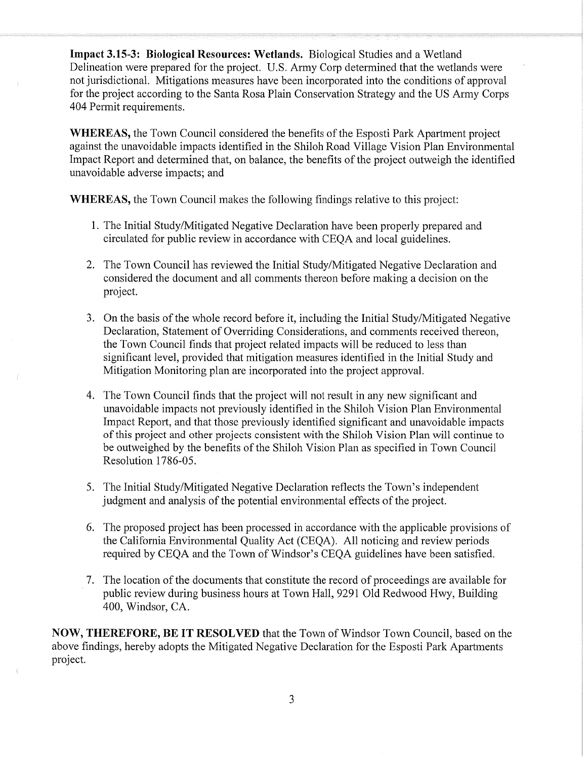Impact 3.15-3: Biological Resources: Wetlands. Biological Studies and a Wetland Delineation were prepared for the project. U.S. Army Corp determined that the wetlands were not jurisdictional. Mitigations measures have been incorporated into the conditions of approval for the project according to the Santa Rosa Plain Conservation Strategy and the US Army Corps 404 Permit requirements.

**WHEREAS, the Town Council considered the benefits of the Esposti Park Apartment project** against the unavoidable impacts identified in the Shiloh Road Village Vision Plan Environmental Impact Report and determined that, on balance, the benefits of the project outweigh the identified unavoidable adverse impacts; and

**WHEREAS, the Town Council makes the following findings relative to this project:** 

- 1. The Initial Study/Mitigated Negative Declaration have been properly prepared and circulated for public review in accordance with CEOA and local guidelines.
- 2. The Town Council has reviewed the Initial Study/Mitigated Negative Declaration and considered the document and all comments thereon before making a decision on the project.
- 3. On the basis of the whole record before it, including the Initial Study/Mitigated Negative Declaration, Statement of Overriding Considerations, and comments received thereon, the Town Council finds that project related impacts will be reduced to less than significant level, provided that mitigation measures identified in the Initial Study and Mitigation Monitoring plan are incorporated into the project approval.
- 4. The Town Council finds that the project will not result in any new significant and unavoidable impacts not previously identified in the Shiloh Vision Plan Environmental Impact Report, and that those previously identified significant and unavoidable impacts of this project and other projects consistent with the Shiloh Vision Plan will continue to be outweighed by the benefits of the Shiloh Vision Plan as specified in Town Council Resolution 1786-05.
- 5. The Initial Study/Mitigated Negative Declaration reflects the Town's independent judgment and analysis of the potential environmental effects of the project.
- 6. The proposed project has been processed in accordance with the applicable provisions of the California Environmental Quality Act (CEQA). All noticing and review periods required by CEQA and the Town of Windsor's CEQA guidelines have been satisfied.
- 7. The location of the documents that constitute the record of proceedings are available for public review during business hours at Town Hall, 9291 Old Redwood Hwy, Building 400, Windsor, CA.

**NOW, THEREFORE, BE IT RESOLVED** that the Town of Windsor Town Council, based on the above findings, hereby adopts the Mitigated Negative Declaration for the Esposti Park Apartments project.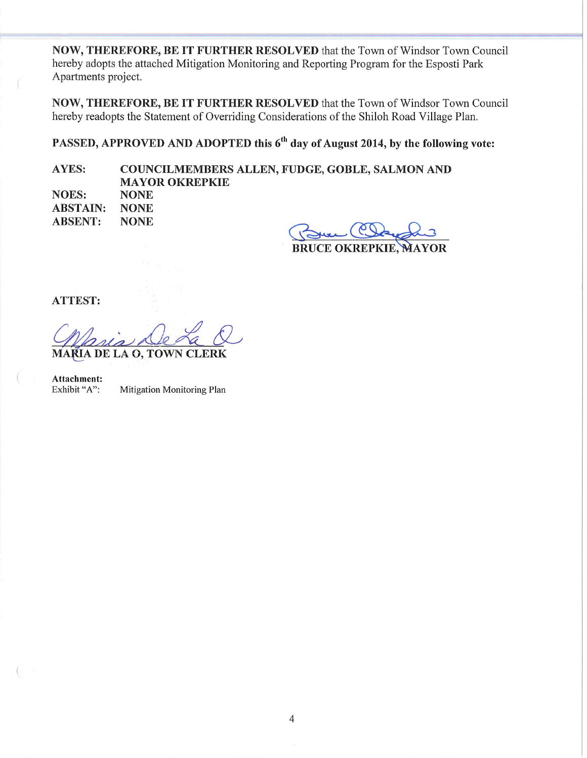NOW, THEREFORE, BE IT FURTHER RESOLVED that the Town of Windsor Town Council hereby adopts the attached Mitigation Monitoring and Reporting Program for the Esposti Park Apartments project.

NOW, THEREFORE, BE IT FURTHER RESOLVED that the Town of Windsor Town Council hereby readopts the Statement of Overriding Considerations of the Shiloh Road Village Plan.

PASSED, APPROVED AND ADOPTED this 6<sup>th</sup> day of August 2014, by the following vote:

COUNCILMEMBERS ALLEN, FUDGE, GOBLE, SALMON AND AYES: **MAYOR OKREPKIE** 

| NOES:           | <b>NONE</b> |
|-----------------|-------------|
| <b>ABSTAIN:</b> | <b>NONE</b> |
| <b>ABSENT:</b>  | <b>NONE</b> |

Jel (CS)

BRUCE OKREPKIE, MAYOR

**ATTEST:** 

**ŘÍA DE LA O. TO'** 

Attachment: Exhibit "A": Mitigation Monitoring Plan

 $\overline{4}$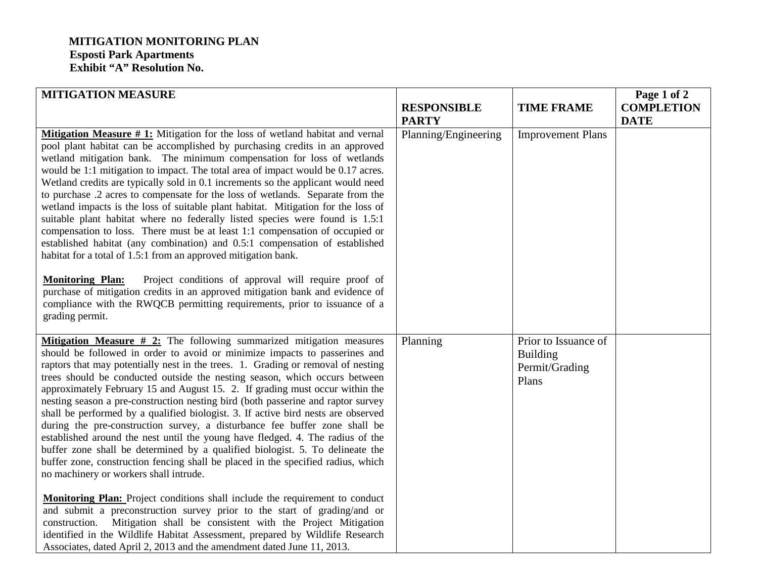## **MITIGATION MONITORING PLAN Esposti Park Apartments Exhibit "A" Resolution No.**

| <b>MITIGATION MEASURE</b>                                                                                                                                                                                                                                                                                                                                                                                                                                                                                                                                                                                                                                                                                                                                                                                                                                                                                                                                                                                                                                  |                      |                                                                    | Page 1 of 2       |
|------------------------------------------------------------------------------------------------------------------------------------------------------------------------------------------------------------------------------------------------------------------------------------------------------------------------------------------------------------------------------------------------------------------------------------------------------------------------------------------------------------------------------------------------------------------------------------------------------------------------------------------------------------------------------------------------------------------------------------------------------------------------------------------------------------------------------------------------------------------------------------------------------------------------------------------------------------------------------------------------------------------------------------------------------------|----------------------|--------------------------------------------------------------------|-------------------|
|                                                                                                                                                                                                                                                                                                                                                                                                                                                                                                                                                                                                                                                                                                                                                                                                                                                                                                                                                                                                                                                            | <b>RESPONSIBLE</b>   | <b>TIME FRAME</b>                                                  | <b>COMPLETION</b> |
|                                                                                                                                                                                                                                                                                                                                                                                                                                                                                                                                                                                                                                                                                                                                                                                                                                                                                                                                                                                                                                                            | <b>PARTY</b>         |                                                                    | <b>DATE</b>       |
| <b>Mitigation Measure #1:</b> Mitigation for the loss of wetland habitat and vernal<br>pool plant habitat can be accomplished by purchasing credits in an approved<br>wetland mitigation bank. The minimum compensation for loss of wetlands<br>would be 1:1 mitigation to impact. The total area of impact would be 0.17 acres.<br>Wetland credits are typically sold in 0.1 increments so the applicant would need<br>to purchase .2 acres to compensate for the loss of wetlands. Separate from the<br>wetland impacts is the loss of suitable plant habitat. Mitigation for the loss of<br>suitable plant habitat where no federally listed species were found is 1.5:1<br>compensation to loss. There must be at least 1:1 compensation of occupied or<br>established habitat (any combination) and 0.5:1 compensation of established<br>habitat for a total of 1.5:1 from an approved mitigation bank.                                                                                                                                               | Planning/Engineering | <b>Improvement Plans</b>                                           |                   |
| <b>Monitoring Plan:</b><br>Project conditions of approval will require proof of<br>purchase of mitigation credits in an approved mitigation bank and evidence of<br>compliance with the RWQCB permitting requirements, prior to issuance of a<br>grading permit.                                                                                                                                                                                                                                                                                                                                                                                                                                                                                                                                                                                                                                                                                                                                                                                           |                      |                                                                    |                   |
| <b>Mitigation Measure # 2:</b> The following summarized mitigation measures<br>should be followed in order to avoid or minimize impacts to passerines and<br>raptors that may potentially nest in the trees. 1. Grading or removal of nesting<br>trees should be conducted outside the nesting season, which occurs between<br>approximately February 15 and August 15. 2. If grading must occur within the<br>nesting season a pre-construction nesting bird (both passerine and raptor survey<br>shall be performed by a qualified biologist. 3. If active bird nests are observed<br>during the pre-construction survey, a disturbance fee buffer zone shall be<br>established around the nest until the young have fledged. 4. The radius of the<br>buffer zone shall be determined by a qualified biologist. 5. To delineate the<br>buffer zone, construction fencing shall be placed in the specified radius, which<br>no machinery or workers shall intrude.<br><b>Monitoring Plan:</b> Project conditions shall include the requirement to conduct | Planning             | Prior to Issuance of<br><b>Building</b><br>Permit/Grading<br>Plans |                   |
| and submit a preconstruction survey prior to the start of grading/and or<br>Mitigation shall be consistent with the Project Mitigation<br>construction.<br>identified in the Wildlife Habitat Assessment, prepared by Wildlife Research<br>Associates, dated April 2, 2013 and the amendment dated June 11, 2013.                                                                                                                                                                                                                                                                                                                                                                                                                                                                                                                                                                                                                                                                                                                                          |                      |                                                                    |                   |